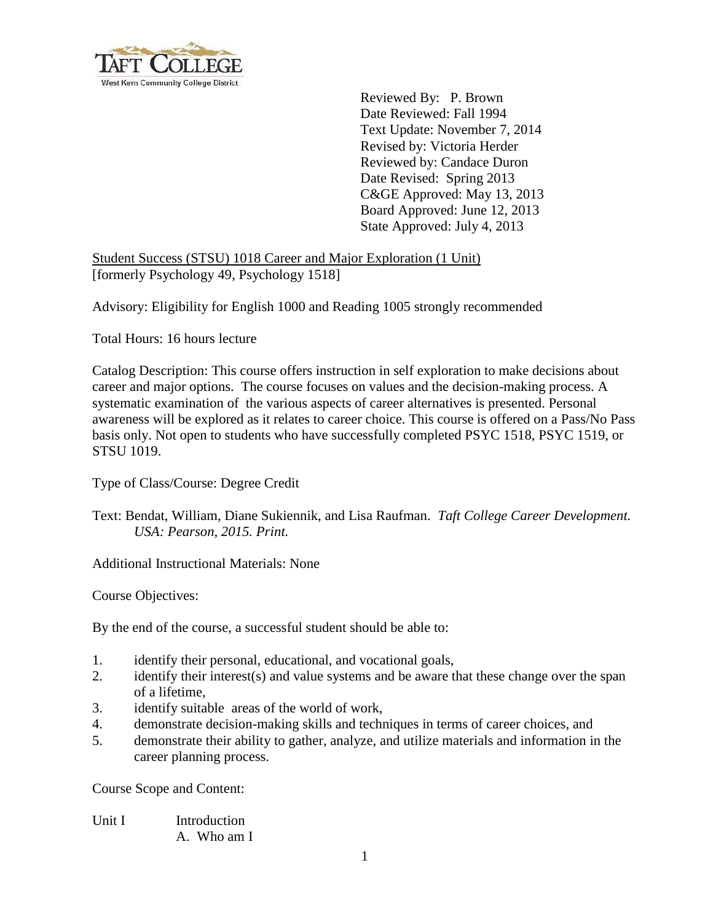

 Reviewed By: P. Brown Date Reviewed: Fall 1994 Text Update: November 7, 2014 Revised by: Victoria Herder Reviewed by: Candace Duron Date Revised: Spring 2013 C&GE Approved: May 13, 2013 Board Approved: June 12, 2013 State Approved: July 4, 2013

## Student Success (STSU) 1018 Career and Major Exploration (1 Unit) [formerly Psychology 49, Psychology 1518]

Advisory: Eligibility for English 1000 and Reading 1005 strongly recommended

Total Hours: 16 hours lecture

Catalog Description: This course offers instruction in self exploration to make decisions about career and major options. The course focuses on values and the decision-making process. A systematic examination of the various aspects of career alternatives is presented. Personal awareness will be explored as it relates to career choice. This course is offered on a Pass/No Pass basis only. Not open to students who have successfully completed PSYC 1518, PSYC 1519, or STSU 1019.

Type of Class/Course: Degree Credit

## Text: Bendat, William, Diane Sukiennik, and Lisa Raufman. *Taft College Career Development. USA: Pearson, 2015. Print.*

Additional Instructional Materials: None

Course Objectives:

By the end of the course, a successful student should be able to:

- 1. identify their personal, educational, and vocational goals,
- 2. identify their interest(s) and value systems and be aware that these change over the span of a lifetime,
- 3. identify suitable areas of the world of work,
- 4. demonstrate decision-making skills and techniques in terms of career choices, and
- 5. demonstrate their ability to gather, analyze, and utilize materials and information in the career planning process.

Course Scope and Content:

Unit I Introduction A. Who am I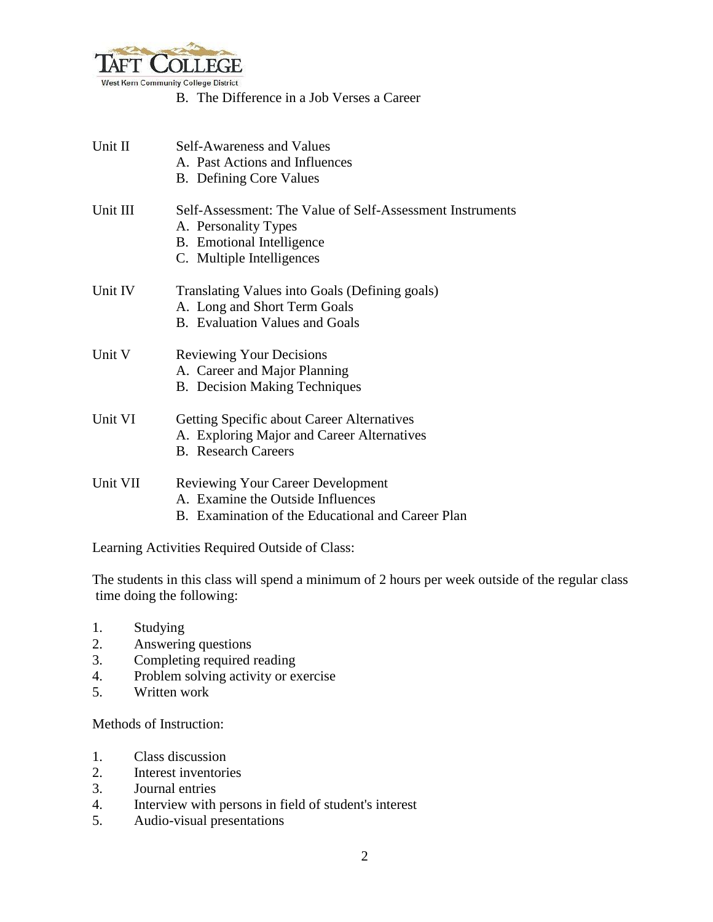

B. The Difference in a Job Verses a Career

| Unit II  | Self-Awareness and Values<br>A. Past Actions and Influences                                                                                        |
|----------|----------------------------------------------------------------------------------------------------------------------------------------------------|
|          | <b>B.</b> Defining Core Values                                                                                                                     |
| Unit III | Self-Assessment: The Value of Self-Assessment Instruments<br>A. Personality Types<br><b>B.</b> Emotional Intelligence<br>C. Multiple Intelligences |
| Unit IV  | Translating Values into Goals (Defining goals)<br>A. Long and Short Term Goals<br><b>B.</b> Evaluation Values and Goals                            |
| Unit V   | <b>Reviewing Your Decisions</b><br>A. Career and Major Planning<br><b>B.</b> Decision Making Techniques                                            |
| Unit VI  | <b>Getting Specific about Career Alternatives</b><br>A. Exploring Major and Career Alternatives<br><b>B.</b> Research Careers                      |
| Unit VII | <b>Reviewing Your Career Development</b><br>A. Examine the Outside Influences<br>B. Examination of the Educational and Career Plan                 |

Learning Activities Required Outside of Class:

The students in this class will spend a minimum of 2 hours per week outside of the regular class time doing the following:

- 1. Studying
- 2. Answering questions
- 3. Completing required reading
- 4. Problem solving activity or exercise
- 5. Written work

Methods of Instruction:

- 1. Class discussion
- 2. Interest inventories
- 3. Journal entries
- 4. Interview with persons in field of student's interest
- 5. Audio-visual presentations